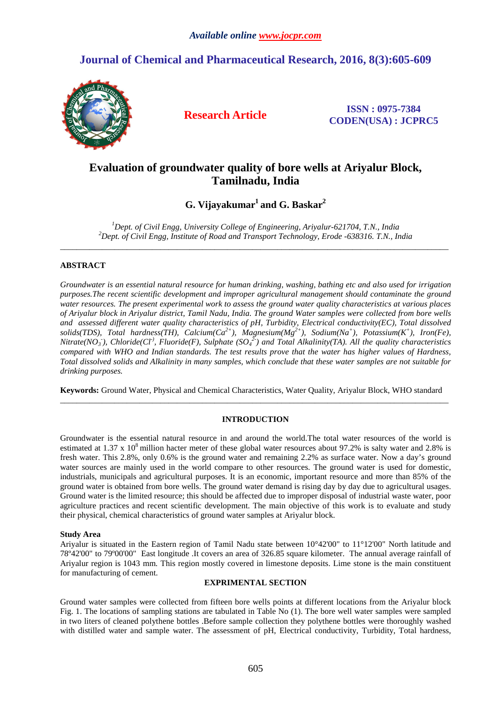# **Journal of Chemical and Pharmaceutical Research, 2016, 8(3):605-609**



**Research Article ISSN : 0975-7384 CODEN(USA) : JCPRC5**

# **Evaluation of groundwater quality of bore wells at Ariyalur Block, Tamilnadu, India**

**G. Vijayakumar<sup>1</sup>and G. Baskar<sup>2</sup>**

*<sup>1</sup>Dept. of Civil Engg, University College of Engineering, Ariyalur-621704, T.N., India <sup>2</sup>Dept. of Civil Engg, Institute of Road and Transport Technology, Erode -638316. T.N., India*  \_\_\_\_\_\_\_\_\_\_\_\_\_\_\_\_\_\_\_\_\_\_\_\_\_\_\_\_\_\_\_\_\_\_\_\_\_\_\_\_\_\_\_\_\_\_\_\_\_\_\_\_\_\_\_\_\_\_\_\_\_\_\_\_\_\_\_\_\_\_\_\_\_\_\_\_\_\_\_\_\_\_\_\_\_\_\_\_\_\_\_\_\_

# **ABSTRACT**

*Groundwater is an essential natural resource for human drinking, washing, bathing etc and also used for irrigation purposes.The recent scientific development and improper agricultural management should contaminate the ground water resources. The present experimental work to assess the ground water quality characteristics at various places of Ariyalur block in Ariyalur district, Tamil Nadu, India. The ground Water samples were collected from bore wells and assessed different water quality characteristics of pH, Turbidity, Electrical conductivity(EC), Total dissolved solids(TDS), Total hardness(TH), Calcium(Ca2+), Magnesium(Mg2+), Sodium(Na<sup>+</sup> ), Potassium(K<sup>+</sup> ), Iron(Fe), Nitrate(NO*<sub>3</sub>), Chloride(Cl<sup>-)</sup>, Fluoride(F), Sulphate (SO<sub>4</sub><sup>2</sup>) and Total Alkalinity(TA). All the quality characteristics *compared with WHO and Indian standards. The test results prove that the water has higher values of Hardness, Total dissolved solids and Alkalinity in many samples, which conclude that these water samples are not suitable for drinking purposes.* 

**Keywords:** Ground Water, Physical and Chemical Characteristics, Water Quality, Ariyalur Block, WHO standard  $\overline{a}$  , and the contribution of the contribution of the contribution of the contribution of the contribution of the contribution of the contribution of the contribution of the contribution of the contribution of the co

# **INTRODUCTION**

Groundwater is the essential natural resource in and around the world.The total water resources of the world is estimated at 1.37 x  $10^8$  million hacter meter of these global water resources about 97.2% is salty water and 2.8% is fresh water. This 2.8%, only 0.6% is the ground water and remaining 2.2% as surface water. Now a day's ground water sources are mainly used in the world compare to other resources. The ground water is used for domestic, industrials, municipals and agricultural purposes. It is an economic, important resource and more than 85% of the ground water is obtained from bore wells. The ground water demand is rising day by day due to agricultural usages. Ground water is the limited resource; this should be affected due to improper disposal of industrial waste water, poor agriculture practices and recent scientific development. The main objective of this work is to evaluate and study their physical, chemical characteristics of ground water samples at Ariyalur block.

## **Study Area**

Ariyalur is situated in the Eastern region of Tamil Nadu state between 10°42'00" to 11°12'00" North latitude and 78º42'00" to 79º00'00" East longitude .It covers an area of 326.85 square kilometer. The annual average rainfall of Ariyalur region is 1043 mm. This region mostly covered in limestone deposits. Lime stone is the main constituent for manufacturing of cement.

## **EXPRIMENTAL SECTION**

Ground water samples were collected from fifteen bore wells points at different locations from the Ariyalur block Fig. 1. The locations of sampling stations are tabulated in Table No (1). The bore well water samples were sampled in two liters of cleaned polythene bottles .Before sample collection they polythene bottles were thoroughly washed with distilled water and sample water. The assessment of pH, Electrical conductivity, Turbidity, Total hardness,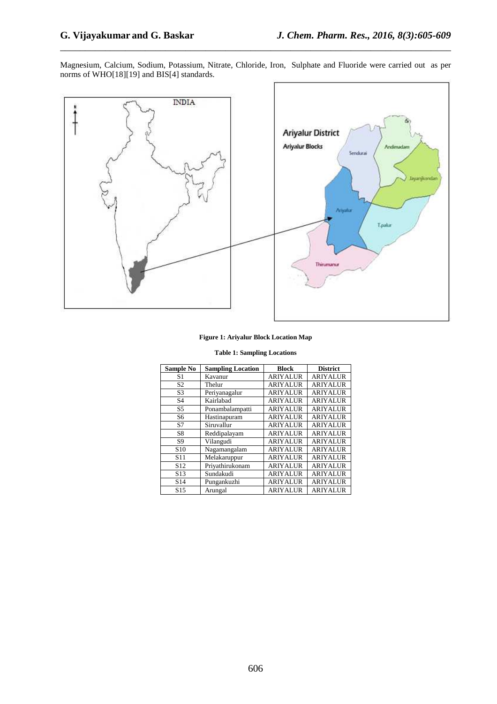Magnesium, Calcium, Sodium, Potassium, Nitrate, Chloride, Iron, Sulphate and Fluoride were carried out as per norms of WHO[18][19] and BIS[4] standards.

\_\_\_\_\_\_\_\_\_\_\_\_\_\_\_\_\_\_\_\_\_\_\_\_\_\_\_\_\_\_\_\_\_\_\_\_\_\_\_\_\_\_\_\_\_\_\_\_\_\_\_\_\_\_\_\_\_\_\_\_\_\_\_\_\_\_\_\_\_\_\_\_\_\_\_\_\_\_



#### **Figure 1: Ariyalur Block Location Map**

|  |  | <b>Table 1: Sampling Locations</b> |
|--|--|------------------------------------|
|--|--|------------------------------------|

| Sample No       | <b>Sampling Location</b> | <b>Block</b>    | <b>District</b> |
|-----------------|--------------------------|-----------------|-----------------|
| S1              | Kavanur                  | <b>ARIYALUR</b> | <b>ARIYALUR</b> |
| S <sub>2</sub>  | Thelur                   | <b>ARIYALUR</b> | <b>ARIYALUR</b> |
| S <sub>3</sub>  | Periyanagalur            | <b>ARIYALUR</b> | <b>ARIYALUR</b> |
| S <sub>4</sub>  | Kairlabad                | <b>ARIYALUR</b> | <b>ARIYALUR</b> |
| S <sub>5</sub>  | Ponambalampatti          | <b>ARIYALUR</b> | <b>ARIYALUR</b> |
| S6              | Hastinapuram             | <b>ARIYALUR</b> | <b>ARIYALUR</b> |
| S7              | Siruvallur               | <b>ARIYALUR</b> | <b>ARIYALUR</b> |
| S8              | Reddipalayam             | <b>ARIYALUR</b> | <b>ARIYALUR</b> |
| S <sub>9</sub>  | Vilangudi                | <b>ARIYALUR</b> | <b>ARIYALUR</b> |
| S <sub>10</sub> | Nagamangalam             | <b>ARIYALUR</b> | <b>ARIYALUR</b> |
| S <sub>11</sub> | Melakaruppur             | <b>ARIYALUR</b> | <b>ARIYALUR</b> |
| S <sub>12</sub> | Priyathirukonam          | <b>ARIYALUR</b> | <b>ARIYALUR</b> |
| S <sub>13</sub> | Sundakudi                | <b>ARIYALUR</b> | <b>ARIYALUR</b> |
| S <sub>14</sub> | Pungankuzhi              | <b>ARIYALUR</b> | <b>ARIYALUR</b> |
| S <sub>15</sub> | Arungal                  | <b>ARIYALUR</b> | <b>ARIYALUR</b> |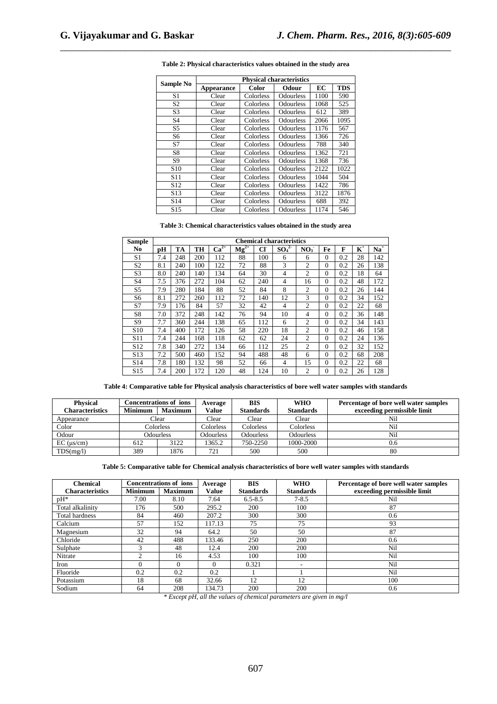|                 | <b>Physical characteristics</b> |              |                  |      |            |  |  |  |  |  |
|-----------------|---------------------------------|--------------|------------------|------|------------|--|--|--|--|--|
| Sample No       | Appearance                      | <b>Color</b> | Odour            | ЕC   | <b>TDS</b> |  |  |  |  |  |
| S <sub>1</sub>  | Clear                           | Colorless    | <b>Odourless</b> | 1100 | 590        |  |  |  |  |  |
| S <sub>2</sub>  | Clear                           | Colorless    | Odourless        | 1068 | 525        |  |  |  |  |  |
| S <sub>3</sub>  | Clear                           | Colorless    | <b>Odourless</b> | 612  | 389        |  |  |  |  |  |
| S <sub>4</sub>  | Clear                           | Colorless    | <b>Odourless</b> | 2066 | 1095       |  |  |  |  |  |
| S <sub>5</sub>  | Clear                           | Colorless    | Odourless        | 1176 | 567        |  |  |  |  |  |
| S <sub>6</sub>  | Clear                           | Colorless    | <b>Odourless</b> | 1366 | 726        |  |  |  |  |  |
| S7              | Clear                           | Colorless    | <b>Odourless</b> | 788  | 340        |  |  |  |  |  |
| S8              | Clear                           | Colorless    | <b>Odourless</b> | 1362 | 721        |  |  |  |  |  |
| S <sub>9</sub>  | Clear                           | Colorless    | Odourless        | 1368 | 736        |  |  |  |  |  |
| S <sub>10</sub> | Clear                           | Colorless    | Odourless        | 2122 | 1022       |  |  |  |  |  |
| S <sub>11</sub> | Clear                           | Colorless    | <b>Odourless</b> | 1044 | 504        |  |  |  |  |  |
| S <sub>12</sub> | Clear                           | Colorless    | Odourless        | 1422 | 786        |  |  |  |  |  |
| S <sub>13</sub> | Clear                           | Colorless    | Odourless        | 3122 | 1876       |  |  |  |  |  |
| S <sub>14</sub> | Clear                           | Colorless    | <b>Odourless</b> | 688  | 392        |  |  |  |  |  |
| S <sub>15</sub> | Clear                           | Colorless    | Odourless        | 1174 | 546        |  |  |  |  |  |

**Table 2: Physical characteristics values obtained in the study area** 

\_\_\_\_\_\_\_\_\_\_\_\_\_\_\_\_\_\_\_\_\_\_\_\_\_\_\_\_\_\_\_\_\_\_\_\_\_\_\_\_\_\_\_\_\_\_\_\_\_\_\_\_\_\_\_\_\_\_\_\_\_\_\_\_\_\_\_\_\_\_\_\_\_\_\_\_\_\_

## **Table 3: Chemical characteristics values obtained in the study area**

| <b>Sample</b>   | <b>Chemical characteristics</b> |     |     |           |           |     |                              |                 |          |     |                |       |
|-----------------|---------------------------------|-----|-----|-----------|-----------|-----|------------------------------|-----------------|----------|-----|----------------|-------|
| No.             | рH                              | TA  | TH  | $Ca^{2+}$ | $Mg^{2+}$ | CF  | SO <sub>4</sub> <sup>2</sup> | NO <sub>3</sub> | Fe       | F   | $\mathbf{K}^+$ | $Na+$ |
| S1              | 7.4                             | 248 | 200 | 112       | 88        | 100 | 6                            | 6               | $\Omega$ | 0.2 | 28             | 142   |
| S <sub>2</sub>  | 8.1                             | 240 | 100 | 122       | 72        | 88  | 3                            | $\overline{2}$  | $\Omega$ | 0.2 | 26             | 138   |
| S <sub>3</sub>  | 8.0                             | 240 | 140 | 134       | 64        | 30  | 4                            | $\overline{c}$  | $\Omega$ | 0.2 | 18             | 64    |
| S4              | 7.5                             | 376 | 272 | 104       | 62        | 240 | 4                            | 16              | $\Omega$ | 0.2 | 48             | 172   |
| S5              | 7.9                             | 280 | 184 | 88        | 52        | 84  | 8                            | $\overline{2}$  | $\Omega$ | 0.2 | 26             | 144   |
| S6              | 8.1                             | 272 | 260 | 112       | 72        | 140 | 12                           | 3               | $\Omega$ | 0.2 | 34             | 152   |
| S7              | 7.9                             | 176 | 84  | 57        | 32        | 42  | 4                            | $\overline{c}$  | $\Omega$ | 0.2 | 22             | 68    |
| S8              | 7.0                             | 372 | 248 | 142       | 76        | 94  | 10                           | $\overline{4}$  | $\Omega$ | 0.2 | 36             | 148   |
| S9              | 7.7                             | 360 | 244 | 138       | 65        | 112 | 6                            | $\overline{c}$  | $\Omega$ | 0.2 | 34             | 143   |
| S <sub>10</sub> | 7.4                             | 400 | 172 | 126       | 58        | 220 | 18                           | $\overline{c}$  | $\Omega$ | 0.2 | 46             | 158   |
| S <sub>11</sub> | 7.4                             | 244 | 168 | 118       | 62        | 62  | 24                           | $\overline{c}$  | $\Omega$ | 0.2 | 24             | 136   |
| S <sub>12</sub> | 7.8                             | 340 | 272 | 134       | 66        | 112 | 25                           | $\overline{c}$  | $\Omega$ | 0.2 | 32             | 152   |
| S <sub>13</sub> | 7.2                             | 500 | 460 | 152       | 94        | 488 | 48                           | 6               | $\Omega$ | 0.2 | 68             | 208   |
| S <sub>14</sub> | 7.8                             | 180 | 132 | 98        | 52        | 66  | 4                            | 15              | $\Omega$ | 0.2 | 22             | 68    |
| S <sub>15</sub> | 7.4                             | 200 | 172 | 120       | 48        | 124 | 10                           | $\overline{c}$  | $\Omega$ | 0.2 | 26             | 128   |

**Table 4: Comparative table for Physical analysis characteristics of bore well water samples with standards** 

| <b>Physical</b>     | <b>Concentrations of ions</b>    |      | Average          | BIS              | <b>WHO</b>       | Percentage of bore well water samples |
|---------------------|----------------------------------|------|------------------|------------------|------------------|---------------------------------------|
| Characteristics     | <b>Minimum</b><br><b>Maximum</b> |      | Value            | <b>Standards</b> | <b>Standards</b> | exceeding permissible limit           |
| Appearance          | Clear                            |      | Clear            | Clear            | Clear            | Nil                                   |
| Color               | Colorless                        |      | Colorless        | Colorless        | Colorless        | Nil                                   |
| Odour               | Odourless                        |      | <b>Odourless</b> | <b>Odourless</b> | <b>Odourless</b> | Nil                                   |
| $EC$ ( $\mu s/cm$ ) | 612                              | 3122 | 1365.2           | 750-2250         | 1000-2000        | 0.6                                   |
| TDS(mg/l)           | 389                              | 1876 | 721              | 500              | 500              | 80                                    |

**Table 5: Comparative table for Chemical analysis characteristics of bore well water samples with standards** 

| <b>Chemical</b>        | <b>Concentrations of ions</b> |                | Average  | <b>BIS</b>       | <b>WHO</b>       | Percentage of bore well water samples |
|------------------------|-------------------------------|----------------|----------|------------------|------------------|---------------------------------------|
| <b>Characteristics</b> | <b>Minimum</b>                | <b>Maximum</b> | Value    | <b>Standards</b> | <b>Standards</b> | exceeding permissible limit           |
| $pH^*$                 | 7.00                          | 8.10           | 7.64     | $6.5 - 8.5$      | $7 - 8.5$        | Nil                                   |
| Total alkalinity       | 176                           | 500            | 295.2    | 200              | 100              | 87                                    |
| <b>Total hardness</b>  | 84                            | 460            | 207.2    | 300              | 300              | 0.6                                   |
| Calcium                | 57                            | 152            | 117.13   | 75               | 75               | 93                                    |
| Magnesium              | 32                            | 94             | 64.2     | 50               | 50               | 87                                    |
| Chloride               | 42                            | 488            | 133.46   | 250              | 200              | 0.6                                   |
| Sulphate               | 3                             | 48             | 12.4     | <b>200</b>       | 200              | Nil                                   |
| Nitrate                | 2                             | 16             | 4.53     | 100              | 100              | Nil                                   |
| Iron                   | $\Omega$                      |                | $\Omega$ | 0.321            |                  | Nil                                   |
| Fluoride               | 0.2                           | 0.2            | 0.2      |                  |                  | Nil                                   |
| Potassium              | 18                            | 68             | 32.66    | 12               | 12               | 100                                   |
| Sodium                 | 64                            | 208            | 34.73    | <b>200</b>       | 200              | 0.6                                   |

*\* Except pH, all the values of chemical parameters are given in mg/l*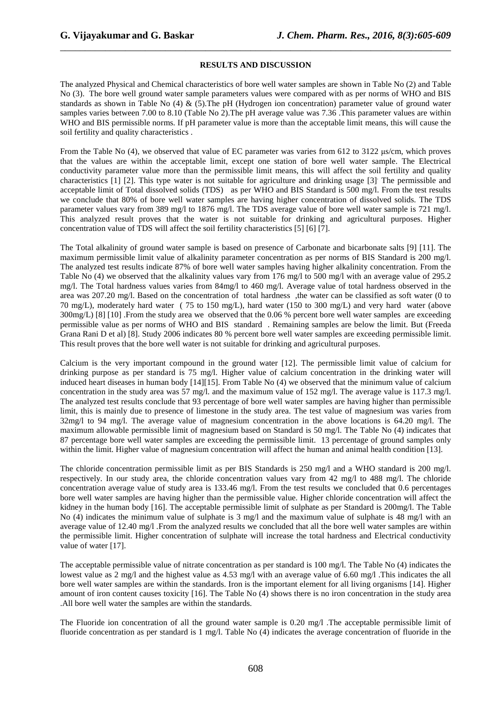### **RESULTS AND DISCUSSION**

\_\_\_\_\_\_\_\_\_\_\_\_\_\_\_\_\_\_\_\_\_\_\_\_\_\_\_\_\_\_\_\_\_\_\_\_\_\_\_\_\_\_\_\_\_\_\_\_\_\_\_\_\_\_\_\_\_\_\_\_\_\_\_\_\_\_\_\_\_\_\_\_\_\_\_\_\_\_

The analyzed Physical and Chemical characteristics of bore well water samples are shown in Table No (2) and Table No (3). The bore well ground water sample parameters values were compared with as per norms of WHO and BIS standards as shown in Table No (4) & (5).The pH (Hydrogen ion concentration) parameter value of ground water samples varies between 7.00 to 8.10 (Table No 2). The pH average value was 7.36. This parameter values are within WHO and BIS permissible norms. If pH parameter value is more than the acceptable limit means, this will cause the soil fertility and quality characteristics .

From the Table No (4), we observed that value of EC parameter was varies from 612 to 3122 µs/cm, which proves that the values are within the acceptable limit, except one station of bore well water sample. The Electrical conductivity parameter value more than the permissible limit means, this will affect the soil fertility and quality characteristics [1] [2]. This type water is not suitable for agriculture and drinking usage [3]. The permissible and acceptable limit of Total dissolved solids (TDS) as per WHO and BIS Standard is 500 mg/l. From the test results we conclude that 80% of bore well water samples are having higher concentration of dissolved solids. The TDS parameter values vary from 389 mg/l to 1876 mg/l. The TDS average value of bore well water sample is 721 mg/l. This analyzed result proves that the water is not suitable for drinking and agricultural purposes. Higher concentration value of TDS will affect the soil fertility characteristics [5] [6] [7].

The Total alkalinity of ground water sample is based on presence of Carbonate and bicarbonate salts [9] [11]. The maximum permissible limit value of alkalinity parameter concentration as per norms of BIS Standard is 200 mg/l. The analyzed test results indicate 87% of bore well water samples having higher alkalinity concentration. From the Table No (4) we observed that the alkalinity values vary from 176 mg/l to 500 mg/l with an average value of 295.2 mg/l. The Total hardness values varies from 84mg/l to 460 mg/l. Average value of total hardness observed in the area was 207.20 mg/l. Based on the concentration of total hardness, the water can be classified as soft water (0 to 70 mg/L), moderately hard water ( 75 to 150 mg/L), hard water (150 to 300 mg/L) and very hard water (above 300mg/L) [8] [10] .From the study area we observed that the 0.06 % percent bore well water samples are exceeding permissible value as per norms of WHO and BIS standard . Remaining samples are below the limit. But (Freeda Grana Rani D et al) [8]. Study 2006 indicates 80 % percent bore well water samples are exceeding permissible limit. This result proves that the bore well water is not suitable for drinking and agricultural purposes.

Calcium is the very important compound in the ground water [12]. The permissible limit value of calcium for drinking purpose as per standard is 75 mg/l. Higher value of calcium concentration in the drinking water will induced heart diseases in human body [14][15]. From Table No (4) we observed that the minimum value of calcium concentration in the study area was 57 mg/l. and the maximum value of 152 mg/l. The average value is 117.3 mg/l. The analyzed test results conclude that 93 percentage of bore well water samples are having higher than permissible limit, this is mainly due to presence of limestone in the study area. The test value of magnesium was varies from 32mg/l to 94 mg/l. The average value of magnesium concentration in the above locations is 64.20 mg/l. The maximum allowable permissible limit of magnesium based on Standard is 50 mg/l. The Table No (4) indicates that 87 percentage bore well water samples are exceeding the permissible limit. 13 percentage of ground samples only within the limit. Higher value of magnesium concentration will affect the human and animal health condition [13].

The chloride concentration permissible limit as per BIS Standards is 250 mg/l and a WHO standard is 200 mg/l. respectively. In our study area, the chloride concentration values vary from 42 mg/l to 488 mg/l. The chloride concentration average value of study area is 133.46 mg/l. From the test results we concluded that 0.6 percentages bore well water samples are having higher than the permissible value. Higher chloride concentration will affect the kidney in the human body [16]. The acceptable permissible limit of sulphate as per Standard is 200mg/l. The Table No (4) indicates the minimum value of sulphate is 3 mg/l and the maximum value of sulphate is 48 mg/l with an average value of 12.40 mg/l .From the analyzed results we concluded that all the bore well water samples are within the permissible limit. Higher concentration of sulphate will increase the total hardness and Electrical conductivity value of water [17].

The acceptable permissible value of nitrate concentration as per standard is 100 mg/l. The Table No (4) indicates the lowest value as 2 mg/l and the highest value as 4.53 mg/l with an average value of 6.60 mg/l .This indicates the all bore well water samples are within the standards. Iron is the important element for all living organisms [14]. Higher amount of iron content causes toxicity [16]. The Table No (4) shows there is no iron concentration in the study area .All bore well water the samples are within the standards.

The Fluoride ion concentration of all the ground water sample is 0.20 mg/l .The acceptable permissible limit of fluoride concentration as per standard is 1 mg/l. Table No (4) indicates the average concentration of fluoride in the